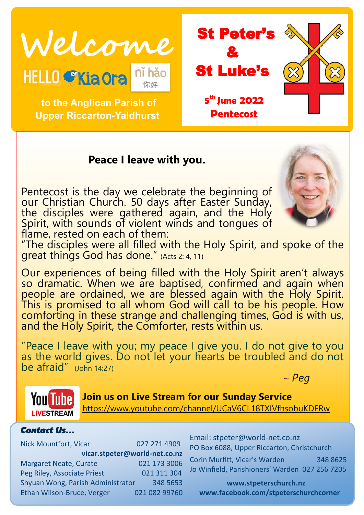Welcome<br>HELLO CKiaora nihão **St Luke's** 

 **to the Anglican Parish of** 

**Upper Riccarton-Yaldhurst**

& St Luke's **5 th June 2022 Pentecost** 

# **Peace I leave with you.**

Pentecost is the day we celebrate the beginning of our Christian Church. 50 days after Easter Sunday, the disciples were gathered again, and the Holy Spirit, with sounds of violent winds and tongues of flame, rested on each of them:



"The disciples were all filled with the Holy Spirit, and spoke of the great things God has done." (Acts 2: 4, 11)

Our experiences of being filled with the Holy Spirit aren't always so dramatic. When we are baptised, confirmed and again when people are ordained, we are blessed again with the Holy Spirit. This is promised to all whom God will call to be his people. How comforting in these strange and challenging times, God is with us, and the Holy Spirit, the Comforter, rests within us.

"Peace I leave with you; my peace I give you. I do not give to you as the world gives. Do not let your hearts be troubled and do not be afraid" (John 14:27)  $\sim$  *Peg*  $\sim$  *Peg* 



**Join us on Live Stream for our Sunday Service** <https://www.youtube.com/channel/UCaV6CL18TXIVfhsobuKDFRw>

#### *Contact Us…*

Nick Mountfort, Vicar 027 271 4909 **vicar.stpeter@world-net.co.nz** Margaret Neate, Curate 021 173 3006 Peg Riley, Associate Priest 021 311 304 Shyuan Wong, Parish Administrator 348 5653 Ethan Wilson-Bruce, Verger 021 082 99760 Email: stpeter@world-net.co.nz PO Box 6088, Upper Riccarton, Christchurch

Corin Murfitt, Vicar's Warden 348 8625 Jo Winfield, Parishioners' Warden 027 256 7205

**www.stpeterschurch.nz www.facebook.com/stpeterschurchcorner**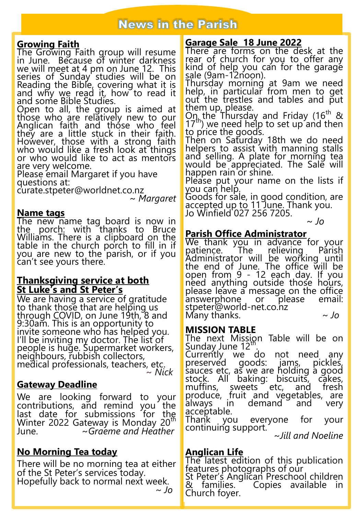# **News in the Parish**

#### **Growing Faith**

The Growing Faith group will resume in June. Because of winter darkness we will meet at 4 pm on June 12. This series of Sunday studies will be on Reading the Bible, covering what it is and why we read it, how to read it and some Bible Studies.

Open to all, the group is aimed at those who are relatively new to our Anglican faith and those who feel they are a little stuck in their faith. However, those with a strong faith who would like a fresh look at things or who would like to act as mentors are very welcome.

Please email Margaret if you have questions at:

curate.stpeter@worldnet.co.nz

~ *Margaret*

#### **Name tags**

The new name tag board is now in the porch: with thanks to Bruce Williams. There is a clipboard on the table in the church porch to fill in if you are new to the parish, or if you can't see yours there.

#### **Thanksgiving service at both St Luke's and St Peter's**

We are having a service of gratitude to thank those that are helping us through COVID, on June 19th, 8 and 9:30am. This is an opportunity to invite someone who has helped you. I'll be inviting my doctor. The list of people is huge. Supermarket workers, neighbours, rubbish collectors, medical professionals, teachers, etc. ~ *Nick*

# **Gateway Deadline**

We are looking forward to your contributions, and remind you the last date for submissions for the Winter 2022 Gateway is Monday 20<sup>th</sup> June. ~*Graeme and Heather*

# **No Morning Tea today**

There will be no morning tea at either of the St Peter's services today. Hopefully back to normal next week.  *~ Jo*

# **Garage Sale 18 June 2022**

There are forms on the desk at the rear of church for you to offer any kind of help you can for the garage sale (9am-12noon).

Thursday morning at 9am we need help, in particular from men to get out the trestles and tables and put them up, please.

 $Q_{\eta_{\rm h}}$ the Thursday and Friday (16<sup>th</sup> &  $(17<sup>th</sup>)$  we need help to set up and then to price the goods.

Then on Saturday 18th we do need helpers to assist with manning stalls and selling. A plate for morning tea would be appreciated. The Sale will happen rain or shine.

Please put your name on the lists if you can help.

Goods for sale, in good condition, are accepted up to 11 June. Thank you. Jo Winfield 027 256 7205.

~ *Jo*

# **Parish Office Administrator**

We thank you in advance for your<br>patience. The relieving Parish patience. The relieving Parish Administrator will be working until the end of June. The office will be open from 9 - 12 each day. If you need anything outside those hours, please leave a message on the office<br>answerphone or please email: answerphone or stpeter@world-net.co.nz Many thanks. *~ Jo*

# **MISSION TABLE**

The next Mission Table will be on Sunday June 12<sup>th</sup>.

Currently we do not need any<br>preserved goods: jams, pickles, preserved sauces etc, as we are holding a good<br>stock. All baking: biscuits, cakes, stock. All baking: biscuits, cakes,<br>muffins, sweets etc, and fresh muffins, sweets etc, and fresh produce, fruit and vegetables, are always in demand and very

acceptable.<br>Thank vo you everyone for your continuing support.

*~Jill and Noeline*

# **Anglican Life**

The latest edition of this publication features photographs of our St Peter's Anglican Preschool children & families. Copies available in Church foyer.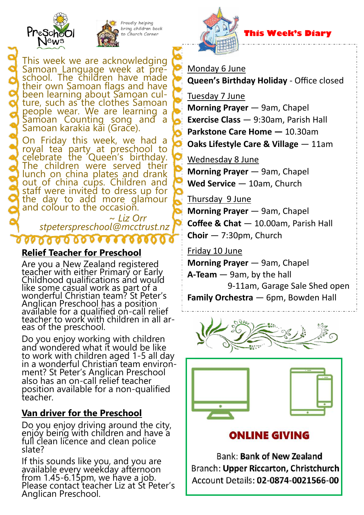



Proudly helping bring children back , Church Cornei

# **This Week's Diary**

Monday 6 June

**Queen's Birthday Holiday** - Office closed

Tuesday 7 June

**Morning Prayer** — 9am, Chapel

**Exercise Class** — 9:30am, Parish Hall

**Parkstone Care Home —** 10.30am

**Oaks Lifestyle Care & Village** — 11am

Wednesday 8 June

**Morning Prayer** — 9am, Chapel **Wed Service** — 10am, Church

Thursday 9 June

**Morning Prayer** — 9am, Chapel **Coffee & Chat** — 10.00am, Parish Hall **Choir** — 7:30pm, Church

Friday 10 June

**Morning Prayer** — 9am, Chapel **A-Team** — 9am, by the hall 9-11am, Garage Sale Shed open **Family Orchestra** — 6pm, Bowden Hall





**ONLINE GIVING** 

**Bank: Bank of New Zealand** Branch: Upper Riccarton, Christchurch Account Details: 02-0874-0021566-00

This week we are acknowledging Samoan Language week at preschool. The children have made their own Samoan flags and have been learning about Samoan culture, such as the clothes Samoan people wear. We are learning a Samoan Counting song and a Samoan karakia kai (Grace).

On Friday this week, we had a royal tea party at preschool to <u>c</u>elebrate the Queen's birthday. The children were served their lunch on china plates and drank out of china cups. Children and staff were invited to dress up for the day to add more glamour and colour to the occasion.

 ~ *Liz Orr stpeterspreschool@mcctrust.nz*

# **Relief Teacher for Preschool**

 $000000000000$ 

Are you a New Zealand registered teacher with either Primary or Early Childhood qualifications and would like some casual work as part of a wonderful Christian team? St Peter's Anglican Preschool has a position available for a qualified on-call relief teacher to work with children in all areas of the preschool.

Do you enjoy working with children and wondered what it would be like to work with children aged 1-5 all day in a wonderful Christian team environment? St Peter's Anglican Preschool also has an on-call relief teacher position available for a non-qualified teacher.

# **Van driver for the Preschool**

Do you enjoy driving around the city, enjoy being with children and have a full clean licence and clean police slate?

If this sounds like you, and you are available every weekday afternoon from 1.45-6.15pm, we have a job. Please contact teacher Liz at St Peter's Anglican Preschool.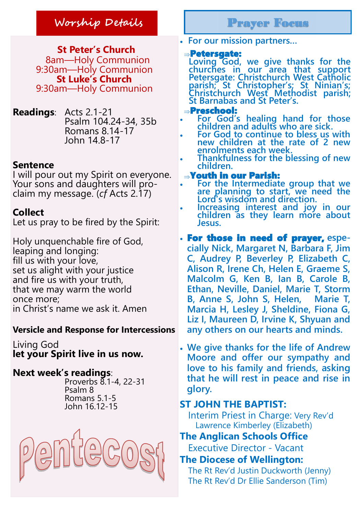# **Worship Details** Prayer Focus

 **St Peter's Church** 8am—Holy Communion 9:30am—Holy Communion **St Luke's Church** 9:30am—Holy Communion

**Readings**: Acts 2.1-21 Psalm 104.24-34, 35b Romans 8.14-17 John 14.8-17

# **Sentence**

I will pour out my Spirit on everyone. Your sons and daughters will proclaim my message. (*cf* Acts 2.17)

# **Collect**

Let us pray to be fired by the Spirit:

Holy unquenchable fire of God, leaping and longing: fill us with your love, set us alight with your justice and fire us with your truth, that we may warm the world once more; in Christ's name we ask it. Amen

# **Versicle and Response for Intercessions**

Living God **let your Spirit live in us now.**

# **Next week's readings**:

 Proverbs 8.1-4, 22-31 Psalm 8 Romans 5.1-5 John 16.12-15



**For our mission partners…**

## Petersgate:

**Loving God, we give thanks for the churches in our area that support Petersgate: Christchurch West Catholic parish; St Christopher's; St Ninian's; Christchurch West Methodist parish; St Barnabas and St Peter's.**

## Preschool:

- **For God's healing hand for those children and adults who are sick.**
	- **For God to continue to bless us with new children at the rate of 2 new enrolments each week.**
- **Thankfulness for the blessing of new children.**

# Youth in our Parish:

- **For the Intermediate group that we are planning to start, we need the Lord's wisdom and direction.**
- **Increasing interest and joy in our children as they learn more about Jesus.**
- For those in need of prayer, **especially Nick, Margaret N, Barbara F, Jim C, Audrey P, Beverley P, Elizabeth C, Alison R, Irene Ch, Helen E, Graeme S, Malcolm G, Ken B, Ian B, Carole B, Ethan, Neville, Daniel, Marie T, Storm B, Anne S, John S, Helen, Marie T, Marcia H, Lesley J, Sheldine, Fiona G,**  Liz I, Maureen D, Irvine K, Shyuan and **any others on our hearts and minds.**
- **We give thanks for the life of Andrew Moore and offer our sympathy and love to his family and friends, asking that he will rest in peace and rise in glory.**

# **ST JOHN THE BAPTIST:**

Interim Priest in Charge: Very Rev'd Lawrence Kimberley (Elizabeth)

# **The Anglican Schools Office**

Executive Director - Vacant

# **The Diocese of Wellington:**

The Rt Rev'd Justin Duckworth (Jenny) The Rt Rev'd Dr Ellie Sanderson (Tim)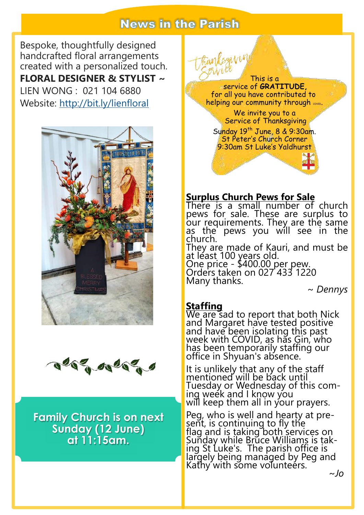# **News in the Parish**

Bespoke, thoughtfully designed handcrafted floral arrangements created with a personalized touch. **FLORAL DESIGNER & STYLIST ~**  LIEN WONG : 021 104 6880 Website: <http://bit.ly/lienfloral>



acomparent

**Family Church is on next Sunday (12 June) at 11:15am.**



# **Surplus Church Pews for Sale**

There is a small number of church pews for sale. These are surplus to our requirements. They are the same as the pews you will see in the church.

They are made of Kauri, and must be at least 100 years old.

One price - \$400.00 per pew. Orders taken on 027 433 1220 Many thanks.

*~ Dennys*

# **Staffing**

We are sad to report that both Nick and Margaret have tested positive and have been isolating this past week with COVID, as has Gin, who has been temporarily staffing our office in Shyuan's absence.

It is unlikely that any of the staff mentioned will be back until Tuesday or Wednesday of this coming week and I know you will keep them all in your prayers.

Peg, who is well and hearty at present, is continuing to fly the flag and is taking both services on Sunday while Brūce Williams is taking St Luke's. The parish office is largely being managed by Peg and Kathy with some volunteers. *~Jo*